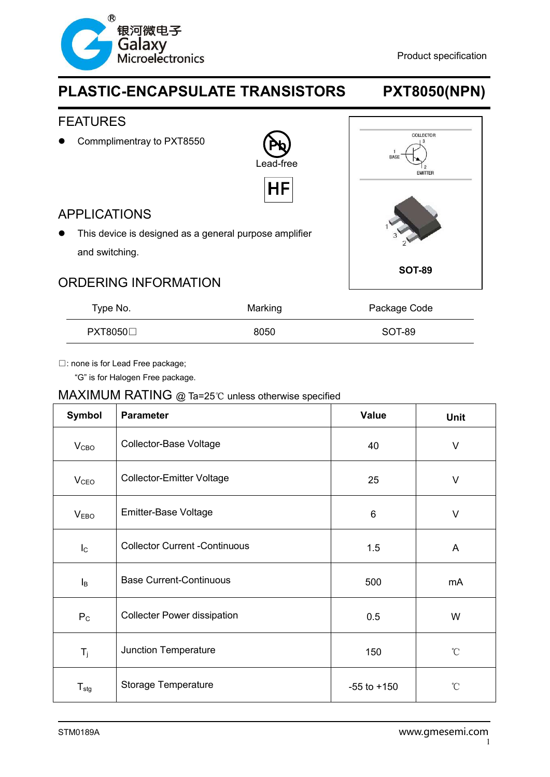

## FEATURES

• Commplimentray to PXT8550

**Pb** Lead-free

HF

## APPLICATIONS

 This device is designed as a general purpose amplifier and switching.



## ORDERING INFORMATION

| Type No.      | Marking | Package Code |
|---------------|---------|--------------|
| $PXT8050\Box$ | 8050    | SOT-89       |

□: none is for Lead Free package;

"G" is for Halogen Free package.

### MAXIMUM RATING @ Ta=25℃ unless otherwise specified

| Symbol           | <b>Parameter</b>                     | <b>Value</b>    | <b>Unit</b>     |
|------------------|--------------------------------------|-----------------|-----------------|
| V <sub>CBO</sub> | Collector-Base Voltage               | 40              | $\vee$          |
| V <sub>CEO</sub> | <b>Collector-Emitter Voltage</b>     | 25              | $\vee$          |
| V <sub>EBO</sub> | Emitter-Base Voltage                 | 6               | $\vee$          |
| $I_{\rm C}$      | <b>Collector Current -Continuous</b> | 1.5             | A               |
| $I_B$            | <b>Base Current-Continuous</b>       | 500             | mA              |
| P <sub>C</sub>   | <b>Collecter Power dissipation</b>   | 0.5             | W               |
| $T_j$            | Junction Temperature                 | 150             | $\rm ^{\circ}C$ |
| $T_{\text{stg}}$ | Storage Temperature                  | $-55$ to $+150$ | $\rm ^{\circ}C$ |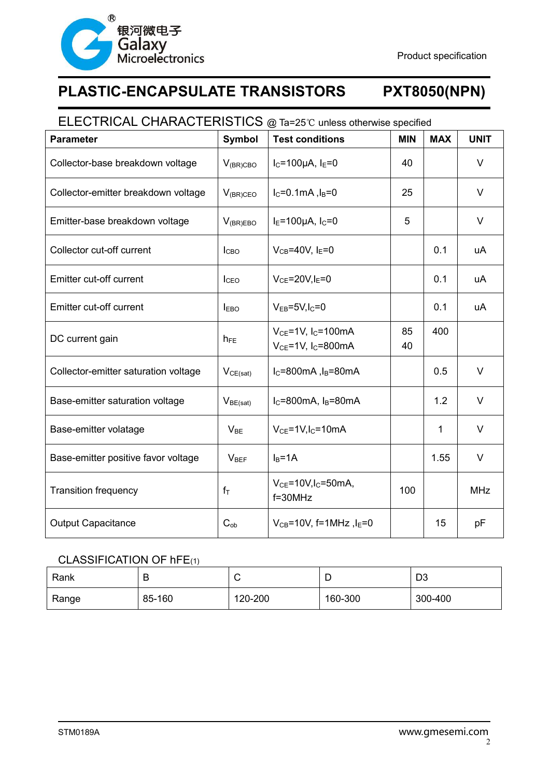

## ELECTRICAL CHARACTERISTICS @ Ta=25℃ unless otherwise specified

| <b>Parameter</b>                     | <b>Symbol</b>    | <b>Test conditions</b>                                                     | <b>MIN</b> | <b>MAX</b> | <b>UNIT</b> |
|--------------------------------------|------------------|----------------------------------------------------------------------------|------------|------------|-------------|
| Collector-base breakdown voltage     | $V_{(BR)CBO}$    | $I_C = 100 \mu A$ , $I_E = 0$                                              | 40         |            | $\vee$      |
| Collector-emitter breakdown voltage  | $V_{(BR)CEO}$    | $I_C = 0.1mA, I_B = 0$                                                     | 25         |            | $\vee$      |
| Emitter-base breakdown voltage       | $V_{(BR)EBO}$    | $IE=100\mu A, IC=0$                                                        | 5          |            | $\vee$      |
| Collector cut-off current            | I <sub>CBO</sub> | $V_{CB} = 40V$ , $I_E = 0$                                                 |            | 0.1        | uA          |
| Emitter cut-off current              | I <sub>CEO</sub> | $V_{CE}$ =20V, $I_E$ =0                                                    |            | 0.1        | uA          |
| Emitter cut-off current              | <b>LEBO</b>      | $V_{EB} = 5V, I_C = 0$                                                     |            | 0.1        | uA          |
| DC current gain                      | $h_{FE}$         | $V_{CE}$ =1V, I <sub>C</sub> =100mA<br>$V_{CE}$ =1V, I <sub>C</sub> =800mA | 85<br>40   | 400        |             |
| Collector-emitter saturation voltage | $V_{CE(sat)}$    | $I_C = 800$ mA, $I_B = 80$ mA                                              |            | 0.5        | $\vee$      |
| Base-emitter saturation voltage      | $V_{BE(sat)}$    | $I_C = 800mA$ , $I_B = 80mA$                                               |            | 1.2        | $\vee$      |
| Base-emitter volatage                | $V_{BE}$         | $V_{CE}$ =1V, $I_C$ =10mA                                                  |            | 1          | V           |
| Base-emitter positive favor voltage  | $V_{BEF}$        | $I_B = 1A$                                                                 |            | 1.55       | $\vee$      |
| <b>Transition frequency</b>          | $f_T$            | $V_{CE}$ =10V, I <sub>C</sub> =50mA,<br>$f = 30$ MHz                       | 100        |            | <b>MHz</b>  |
| <b>Output Capacitance</b>            | $C_{ob}$         | $V_{CB} = 10V$ , f=1MHz, $I_E = 0$                                         |            | 15         | pF          |

### CLASSIFICATION OF hFE(1)

| Rank  | ▫      | ◡       | ∽       | n o<br>υə |
|-------|--------|---------|---------|-----------|
| Range | 85-160 | 120-200 | 160-300 | 300-400   |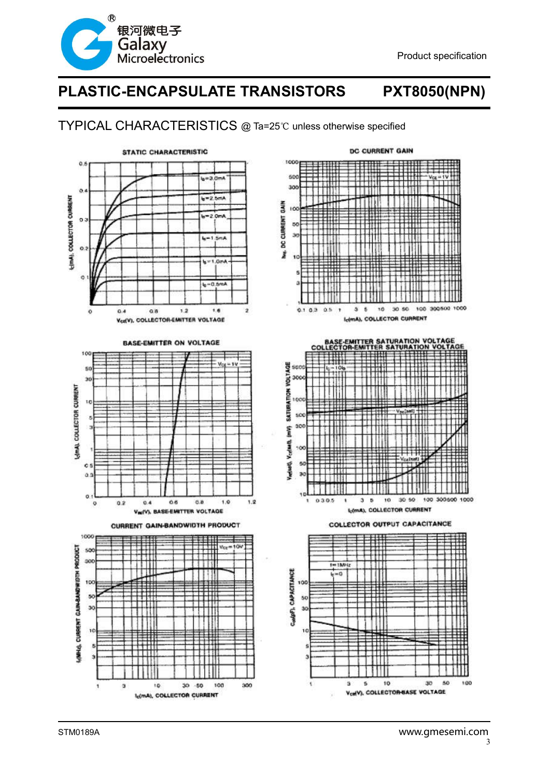

## TYPICAL CHARACTERISTICS @ Ta=25℃ unless otherwise specified



**BASE-EMITTER ON VOLTAGE** 



CURRENT GAIN-BANDWIDTH PRODUCT





**COLLECTOR OUTPUT CAPACITANCE**